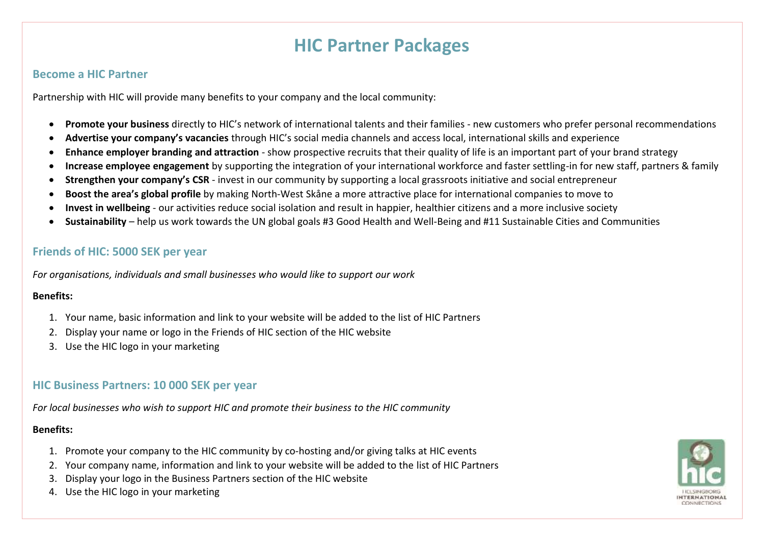# **HIC Partner Packages**

## **Become a HIC Partner**

Partnership with HIC will provide many benefits to your company and the local community:

- **Promote your business** directly to HIC's network of international talents and their families new customers who prefer personal recommendations
- **Advertise your company's vacancies** through HIC's social media channels and access local, international skills and experience
- **Enhance employer branding and attraction**  show prospective recruits that their quality of life is an important part of your brand strategy
- **Increase employee engagement** by supporting the integration of your international workforce and faster settling-in for new staff, partners & family
- **Strengthen your company's CSR** invest in our community by supporting a local grassroots initiative and social entrepreneur
- **Boost the area's global profile** by making North-West Skåne a more attractive place for international companies to move to
- **Invest in wellbeing** our activities reduce social isolation and result in happier, healthier citizens and a more inclusive society
- **Sustainability**  help us work towards the UN global goals #3 Good Health and Well-Being and #11 Sustainable Cities and Communities

## **Friends of HIC: 5000 SEK per year**

*For organisations, individuals and small businesses who would like to support our work*

#### **Benefits:**

- 1. Your name, basic information and link to your website will be added to the list of HIC Partners
- 2. Display your name or logo in the Friends of HIC section of the HIC website
- 3. Use the HIC logo in your marketing

## **HIC Business Partners: 10 000 SEK per year**

*For local businesses who wish to support HIC and promote their business to the HIC community*

## **Benefits:**

- 1. Promote your company to the HIC community by co-hosting and/or giving talks at HIC events
- 2. Your company name, information and link to your website will be added to the list of HIC Partners
- 3. Display your logo in the Business Partners section of the HIC website
- 4. Use the HIC logo in your marketing